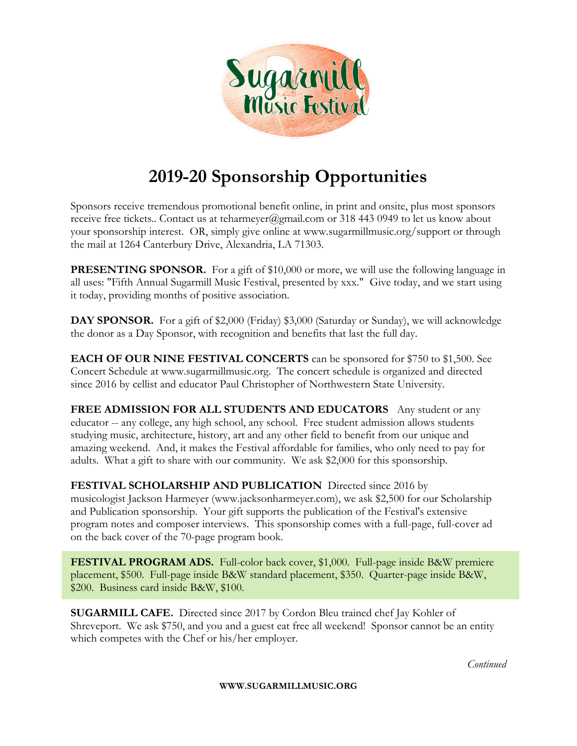

## **2019-20 Sponsorship Opportunities**

Sponsors receive tremendous promotional benefit online, in print and onsite, plus most sponsors receive free tickets.. Contact us at [teharmeyer@gmail.com](mailto:teharmeyer@gmail.com?subject=Festival%20Sponsorship) or 318 443 0949 to let us know about your sponsorship interest. OR, simply [give online](https://www.sugarmillmusic.org/support) at www.sugarmillmusic.org/support or through the mail at 1264 Canterbury Drive, Alexandria, LA 71303.

**PRESENTING SPONSOR.** For a gift of \$10,000 or more, we will use the following language in all uses: "Fifth Annual Sugarmill Music Festival, presented by xxx." Give today, and we start using it today, providing months of positive association.

**DAY SPONSOR.** For a gift of \$2,000 (Friday) \$3,000 (Saturday or Sunday), we will acknowledge the donor as a Day Sponsor, with recognition and benefits that last the full day.

**EACH OF OUR NINE FESTIVAL CONCERTS** can be sponsored for \$750 to \$1,500. See Concert Schedule at www.sugarmillmusic.org. The concert schedule is organized and directed since 2016 by cellist and educator Paul Christopher of Northwestern State University.

**FREE ADMISSION FOR ALL STUDENTS AND EDUCATORS** Any student or any educator -- any college, any high school, any school. Free student admission allows students studying music, architecture, history, art and any other field to benefit from our unique and amazing weekend. And, it makes the Festival affordable for families, who only need to pay for adults. What a gift to share with our community. We ask \$2,000 for this sponsorship.

**FESTIVAL SCHOLARSHIP AND PUBLICATION** Directed since 2016 by musicologist Jackson Harmeyer (www.jacksonharmeyer.com), we ask \$2,500 for our Scholarship and Publication sponsorship. Your gift supports the publication of the Festival's extensive program notes and composer interviews. This sponsorship comes with a full-page, full-cover ad on the back cover of the 70-page program book.

**FESTIVAL PROGRAM ADS.** Full-color back cover, \$1,000. Full-page inside B&W premiere placement, \$500. Full-page inside B&W standard placement, \$350. Quarter-page inside B&W, \$200. Business card inside B&W, \$100.

**SUGARMILL CAFE.** Directed since 2017 by Cordon Bleu trained chef Jay Kohler of Shreveport. We ask \$750, and you and a guest eat free all weekend! Sponsor cannot be an entity which competes with the Chef or his/her employer.

*Continued*

**WWW.SUGARMILLMUSIC.ORG**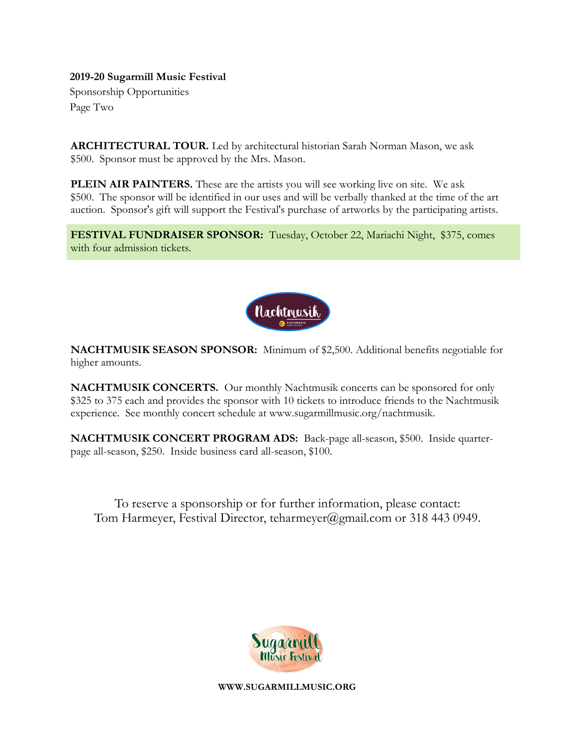## **2019-20 Sugarmill Music Festival**

Sponsorship Opportunities Page Two

**ARCHITECTURAL TOUR.** Led by architectural historian Sarah Norman Mason, we ask \$500. Sponsor must be approved by the Mrs. Mason.

**PLEIN AIR PAINTERS.** These are the artists you will see working live on site. We ask \$500. The sponsor will be identified in our uses and will be verbally thanked at the time of the art auction. Sponsor's gift will support the Festival's purchase of artworks by the participating artists.

**FESTIVAL FUNDRAISER SPONSOR:** Tuesday, October 22, Mariachi Night, \$375, comes with four admission tickets.



**NACHTMUSIK SEASON SPONSOR:** Minimum of \$2,500. Additional benefits negotiable for higher amounts.

**NACHTMUSIK CONCERTS.** Our monthly Nachtmusik concerts can be sponsored for only \$325 to 375 each and provides the sponsor with 10 tickets to introduce friends to the Nachtmusik experience. See monthly concert schedule at www.sugarmillmusic.org/nachtmusik.

**NACHTMUSIK CONCERT PROGRAM ADS:** Back-page all-season, \$500. Inside quarterpage all-season, \$250. Inside business card all-season, \$100.

To reserve a sponsorship or for further information, please contact: Tom Harmeyer, Festival Director, teharmeyer@gmail.com or 318 443 0949.



**WWW.SUGARMILLMUSIC.ORG**